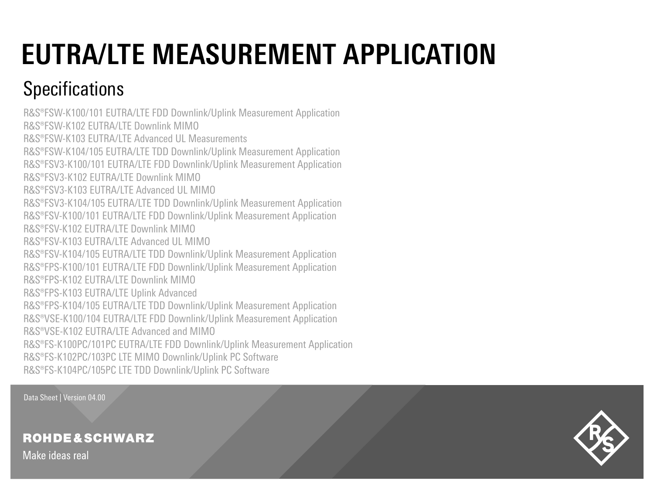# **EUTRA/LTE MEASUREMENT APPLICATION**

## **Specifications**

R&S®FSW-K100/101 EUTRA/LTE FDD Downlink/Uplink Measurement Application R&S®FSW-K102 EUTRA/LTE Downlink MIMO R&S®FSW-K103 EUTRA/LTE Advanced UL Measurements R&S®FSW-K104/105 EUTRA/LTE TDD Downlink/Uplink Measurement Application R&S®FSV3-K100/101 EUTRA/LTE FDD Downlink/Uplink Measurement Application R&S®FSV3-K102 EUTRA/LTE Downlink MIMO R&S®FSV3-K103 EUTRA/LTE Advanced UL MIMO R&S®FSV3-K104/105 EUTRA/LTE TDD Downlink/Uplink Measurement Application R&S®FSV-K100/101 EUTRA/LTE FDD Downlink/Uplink Measurement Application R&S®FSV-K102 EUTRA/LTE Downlink MIMO R&S®FSV-K103 EUTRA/LTE Advanced UL MIMO R&S®FSV-K104/105 EUTRA/LTE TDD Downlink/Uplink Measurement Application R&S®FPS-K100/101 EUTRA/LTE FDD Downlink/Uplink Measurement Application R&S®FPS-K102 EUTRA/LTE Downlink MIMO R&S®FPS-K103 EUTRA/LTE Uplink Advanced R&S®FPS-K104/105 EUTRA/LTE TDD Downlink/Uplink Measurement Application R&S®VSE-K100/104 EUTRA/LTE FDD Downlink/Uplink Measurement Application R&S®VSE-K102 EUTRA/LTE Advanced and MIMO R&S®FS-K100PC/101PC EUTRA/LTE FDD Downlink/Uplink Measurement Application R&S®FS-K102PC/103PC LTE MIMO Downlink/Uplink PC Software R&S®FS-K104PC/105PC LTE TDD Downlink/Uplink PC Software

Data Sheet | Version 04.00

**ROHDE&SCHWARZ** 



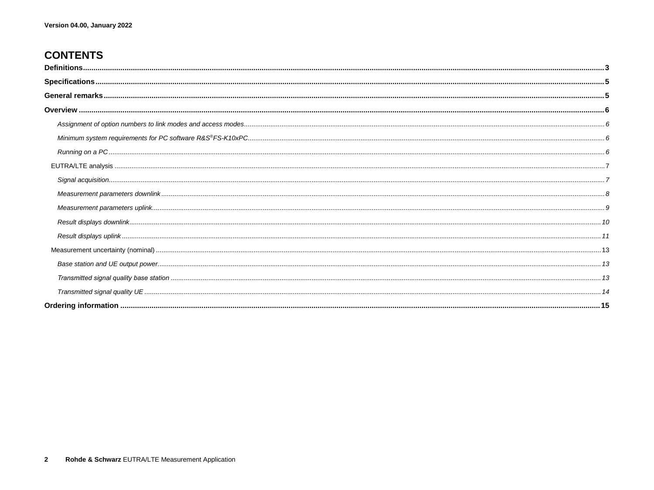## **CONTENTS**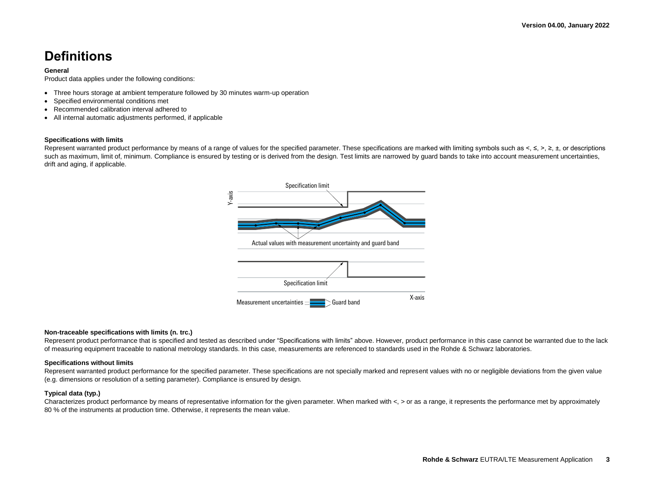## **Definitions**

#### **General**

Product data applies under the following conditions:

- Three hours storage at ambient temperature followed by 30 minutes warm-up operation
- Specified environmental conditions met
- Recommended calibration interval adhered to
- All internal automatic adjustments performed, if applicable

### **Specifications with limits**

Represent warranted product performance by means of a range of values for the specified parameter. These specifications are marked with limiting symbols such as  $\lt$ ,  $\lt$ ,  $\gt$ ,  $\gt$ ,  $\pm$ , or descriptions such as maximum, limit of, minimum. Compliance is ensured by testing or is derived from the design. Test limits are narrowed by quard bands to take into account measurement uncertainties, drift and aging, if applicable.



#### **Non-traceable specifications with limits (n. trc.)**

Represent product performance that is specified and tested as described under "Specifications with limits" above. However, product performance in this case cannot be warranted due to the lack of measuring equipment traceable to national metrology standards. In this case, measurements are referenced to standards used in the Rohde & Schwarz laboratories.

#### **Specifications without limits**

Represent warranted product performance for the specified parameter. These specifications are not specially marked and represent values with no or negligible deviations from the given value (e.g. dimensions or resolution of a setting parameter). Compliance is ensured by design.

#### **Typical data (typ.)**

Characterizes product performance by means of representative information for the given parameter. When marked with  $\lt$ ,  $>$  or as a range, it represents the performance met by approximately 80 % of the instruments at production time. Otherwise, it represents the mean value.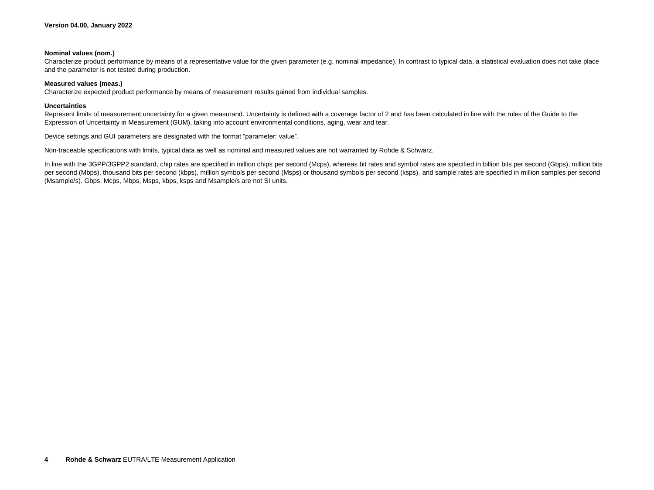#### **Nominal values (nom.)**

Characterize product performance by means of a representative value for the given parameter (e.g. nominal impedance). In contrast to typical data, a statistical evaluation does not take place and the parameter is not tested during production.

#### **Measured values (meas.)**

Characterize expected product performance by means of measurement results gained from individual samples.

#### **Uncertainties**

Represent limits of measurement uncertainty for a given measurand. Uncertainty is defined with a coverage factor of 2 and has been calculated in line with the rules of the Guide to the Expression of Uncertainty in Measurement (GUM), taking into account environmental conditions, aging, wear and tear.

Device settings and GUI parameters are designated with the format "parameter: value".

Non-traceable specifications with limits, typical data as well as nominal and measured values are not warranted by Rohde & Schwarz.

In line with the 3GPP/3GPP2 standard, chip rates are specified in million chips per second (Mcps), whereas bit rates and symbol rates are specified in billion bits per second (Gbps), million bits per second (Mbps), thousand bits per second (kbps), million symbols per second (Msps) or thousand symbols per second (ksps), and sample rates are specified in million samples per second (Msample/s). Gbps, Mcps, Mbps, Msps, kbps, ksps and Msample/s are not SI units.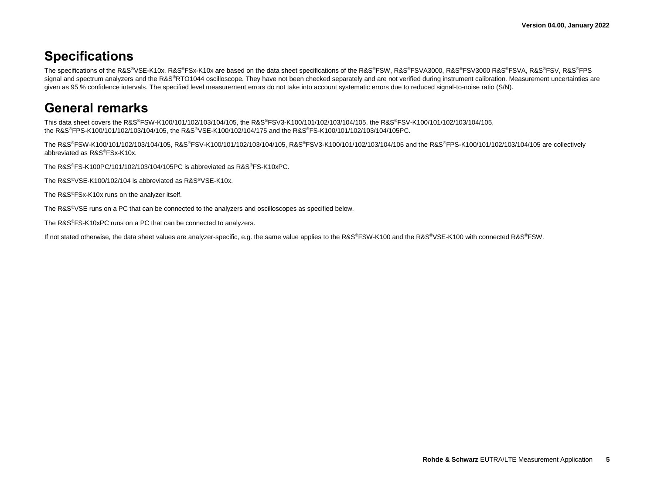## **Specifications**

The specifications of the R&S®VSE-K10x, R&S®FSx-K10x are based on the data sheet specifications of the R&S®FSW, R&S®FSVA3000, R&S®FSV3000 R&S®FSVA, R&S®FSV, R&S®FPS signal and spectrum analyzers and the R&S®RTO1044 oscilloscope. They have not been checked separately and are not verified during instrument calibration. Measurement uncertainties are given as 95 % confidence intervals. The specified level measurement errors do not take into account systematic errors due to reduced signal-to-noise ratio (S/N).

## **General remarks**

This data sheet covers the R&S®FSW-K100/101/102/103/104/105, the R&S®FSV3-K100/101/102/103/104/105, the R&S®FSV-K100/101/102/103/104/105, the R&S®FPS-K100/101/102/103/104/105, the R&S®VSE-K100/102/104/175 and the R&S®FS-K100/101/102/103/104/105PC.

The R&S®FSW-K100/101/102/103/104/105, R&S®FSV-K100/101/102/103/104/105, R&S®FSV3-K100/101/102/103/104/105 and the R&S®FPS-K100/101/102/103/104/105 are collectively abbreviated as R&S®FSx-K10x.

The R&S®FS-K100PC/101/102/103/104/105PC is abbreviated as R&S®FS-K10xPC.

The R&S®VSE-K100/102/104 is abbreviated as R&S®VSE-K10x.

The R&S®FSx-K10x runs on the analyzer itself.

The R&S<sup>®</sup>VSE runs on a PC that can be connected to the analyzers and oscilloscopes as specified below.

The R&S®FS-K10xPC runs on a PC that can be connected to analyzers.

If not stated otherwise, the data sheet values are analyzer-specific, e.g. the same value applies to the R&S®FSW-K100 and the R&S®VSE-K100 with connected R&S®FSW.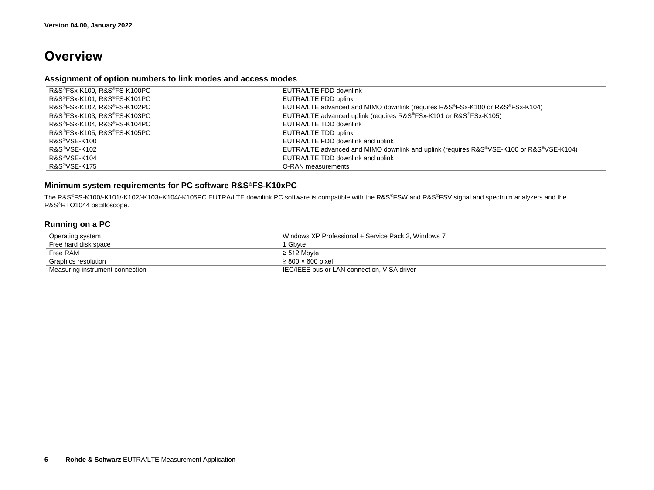## **Overview**

## **Assignment of option numbers to link modes and access modes**

| R&S®FSx-K100, R&S®FS-K100PC | EUTRA/LTE FDD downlink                                                                  |
|-----------------------------|-----------------------------------------------------------------------------------------|
| R&S®FSx-K101, R&S®FS-K101PC | EUTRA/LTE FDD uplink                                                                    |
| R&S®FSx-K102, R&S®FS-K102PC | EUTRA/LTE advanced and MIMO downlink (requires R&S®FSx-K100 or R&S®FSx-K104)            |
| R&S®FSx-K103, R&S®FS-K103PC | EUTRA/LTE advanced uplink (requires R&S®FSx-K101 or R&S®FSx-K105)                       |
| R&S®FSx-K104, R&S®FS-K104PC | EUTRA/LTE TDD downlink                                                                  |
| R&S®FSx-K105, R&S®FS-K105PC | EUTRA/LTE TDD uplink                                                                    |
| R&S <sup>®</sup> VSE-K100   | EUTRA/LTE FDD downlink and uplink                                                       |
| R&S®VSE-K102                | EUTRA/LTE advanced and MIMO downlink and uplink (requires R&S®VSE-K100 or R&S®VSE-K104) |
| R&S <sup>®</sup> VSE-K104   | EUTRA/LTE TDD downlink and uplink                                                       |
| R&S <sup>®</sup> VSE-K175   | O-RAN measurements                                                                      |

## **Minimum system requirements for PC software R&S®FS-K10xPC**

The R&S®FS-K100/-K101/-K102/-K103/-K104/-K105PC EUTRA/LTE downlink PC software is compatible with the R&S®FSW and R&S®FSV signal and spectrum analyzers and the R&S®RTO1044 oscilloscope.

## **Running on a PC**

| Operating system                | Windows XP Professional + Service Pack 2. Windows 7 |
|---------------------------------|-----------------------------------------------------|
| Free hard disk space            | 1 Gbvte                                             |
| Free RAM                        | $\geq 512$ Mbvte                                    |
| Graphics resolution             | $\geq 800 \times 600$ pixel                         |
| Measuring instrument connection | IEC/IEEE bus or LAN connection, VISA driver         |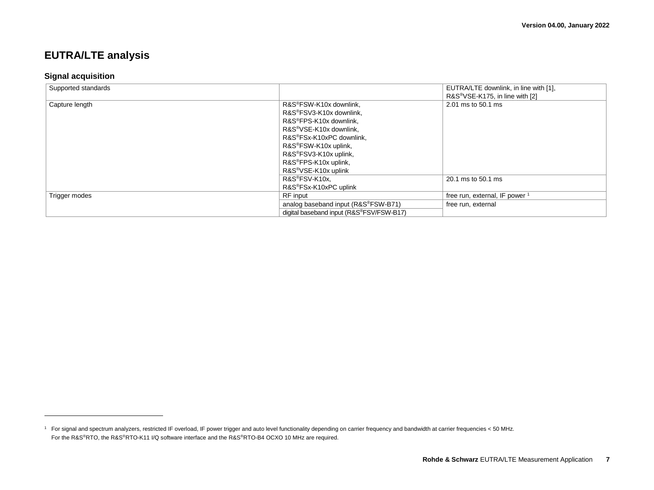## **EUTRA/LTE analysis**

## **Signal acquisition**

l

| Supported standards |                                          | EUTRA/LTE downlink, in line with [1],       |
|---------------------|------------------------------------------|---------------------------------------------|
|                     |                                          | R&S <sup>®</sup> VSE-K175, in line with [2] |
| Capture length      | R&S®FSW-K10x downlink.                   | 2.01 ms to 50.1 ms                          |
|                     | R&S®FSV3-K10x downlink,                  |                                             |
|                     | R&S®FPS-K10x downlink,                   |                                             |
|                     | R&S <sup>®</sup> VSE-K10x downlink,      |                                             |
|                     | R&S®FSx-K10xPC downlink,                 |                                             |
|                     | R&S®FSW-K10x uplink,                     |                                             |
|                     | R&S®FSV3-K10x uplink,                    |                                             |
|                     | R&S®FPS-K10x uplink,                     |                                             |
|                     | R&S <sup>®</sup> VSE-K10x uplink         |                                             |
|                     | R&S®FSV-K10x.                            | 20.1 ms to 50.1 ms                          |
|                     | R&S®FSx-K10xPC uplink                    |                                             |
| Trigger modes       | RF input                                 | free run, external, IF power                |
|                     | analog baseband input (R&S®FSW-B71)      | free run, external                          |
|                     | digital baseband input (R&S®FSV/FSW-B17) |                                             |

<sup>&</sup>lt;sup>1</sup> For signal and spectrum analyzers, restricted IF overload, IF power trigger and auto level functionality depending on carrier frequency and bandwidth at carrier frequencies < 50 MHz. For the R&S®RTO, the R&S®RTO-K11 I/Q software interface and the R&S®RTO-B4 OCXO 10 MHz are required.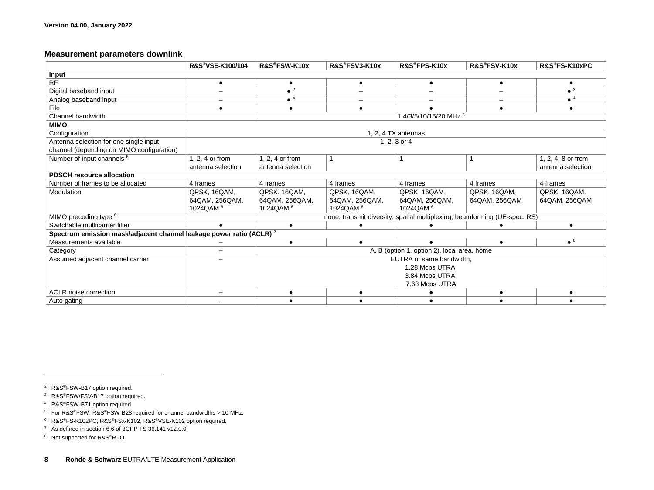## **Measurement parameters downlink**

<span id="page-7-3"></span><span id="page-7-2"></span><span id="page-7-1"></span><span id="page-7-0"></span>

|                                                                      | R&S®VSE-K100/104         | R&S®FSW-K10x           | R&S®FSV3-K10x        | R&S®FPS-K10x                                                              | R&S®FSV-K10x  | R&S®FS-K10xPC          |
|----------------------------------------------------------------------|--------------------------|------------------------|----------------------|---------------------------------------------------------------------------|---------------|------------------------|
| Input                                                                |                          |                        |                      |                                                                           |               |                        |
| <b>RF</b>                                                            | $\bullet$                | $\bullet$              | $\bullet$            | $\bullet$                                                                 | $\bullet$     |                        |
| Digital baseband input                                               |                          | $\bullet$ <sup>2</sup> | $\qquad \qquad -$    | $\qquad \qquad -$                                                         |               | $\bullet$ <sup>3</sup> |
| Analog baseband input                                                |                          | $\bullet$ <sup>4</sup> |                      |                                                                           |               | $\bullet$ <sup>4</sup> |
| File                                                                 |                          | ٠                      | ٠                    |                                                                           |               | ٠                      |
| Channel bandwidth                                                    |                          |                        |                      | 1.4/3/5/10/15/20 MHz 5                                                    |               |                        |
| <b>MIMO</b>                                                          |                          |                        |                      |                                                                           |               |                        |
| Configuration                                                        |                          |                        |                      | 1. 2. 4 TX antennas                                                       |               |                        |
| Antenna selection for one single input                               | 1, 2, 3 or 4             |                        |                      |                                                                           |               |                        |
| channel (depending on MIMO configuration)                            |                          |                        |                      |                                                                           |               |                        |
| Number of input channels 6                                           | 1.2.4 or from            | 1, 2, 4 or from        |                      | -1                                                                        |               | 1, 2, 4, 8 or from     |
|                                                                      | antenna selection        | antenna selection      |                      |                                                                           |               | antenna selection      |
| <b>PDSCH resource allocation</b>                                     |                          |                        |                      |                                                                           |               |                        |
| Number of frames to be allocated                                     | 4 frames                 | 4 frames               | 4 frames             | 4 frames                                                                  | 4 frames      | 4 frames               |
| Modulation                                                           | QPSK, 16QAM,             | QPSK, 16QAM,           | QPSK, 16QAM,         | QPSK, 16QAM,                                                              | QPSK, 16QAM,  | QPSK, 16QAM,           |
|                                                                      | 64QAM, 256QAM,           | 64QAM, 256QAM,         | 64QAM, 256QAM,       | 64QAM, 256QAM,                                                            | 64QAM, 256QAM | 64QAM, 256QAM          |
|                                                                      | 1024QAM <sup>6</sup>     | 1024QAM <sup>6</sup>   | 1024QAM <sup>6</sup> | 1024QAM <sup>6</sup>                                                      |               |                        |
| MIMO precoding type <sup>6</sup>                                     |                          |                        |                      | none, transmit diversity, spatial multiplexing, beamforming (UE-spec. RS) |               |                        |
| Switchable multicarrier filter                                       | $\bullet$                | $\bullet$              | $\bullet$            |                                                                           |               | $\bullet$              |
| Spectrum emission mask/adjacent channel leakage power ratio (ACLR) 7 |                          |                        |                      |                                                                           |               |                        |
| Measurements available                                               |                          |                        | $\bullet$            |                                                                           |               | $^8$                   |
| Category                                                             | $\overline{\phantom{m}}$ |                        |                      | A, B (option 1, option 2), local area, home                               |               |                        |
| Assumed adjacent channel carrier                                     |                          |                        |                      | EUTRA of same bandwidth.                                                  |               |                        |
|                                                                      |                          |                        |                      | 1.28 Mcps UTRA,                                                           |               |                        |
|                                                                      |                          |                        | 3.84 Mcps UTRA,      |                                                                           |               |                        |
|                                                                      |                          |                        |                      | 7.68 Mcps UTRA                                                            |               |                        |
| <b>ACLR</b> noise correction                                         |                          |                        |                      |                                                                           |               |                        |
| Auto gating                                                          |                          |                        |                      |                                                                           |               |                        |

<sup>2</sup> R&S®FSW-B17 option required.

<span id="page-7-4"></span> $\overline{a}$ 

<sup>3</sup> R&S®FSW/FSV-B17 option required.

<sup>4</sup> R&S®FSW-B71 option required.

<sup>5</sup> For R&S®FSW, R&S®FSW-B28 required for channel bandwidths > 10 MHz.

<sup>6</sup> R&S®FS-K102PC, R&S®FSx-K102, R&S®VSE-K102 option required.

<sup>7</sup> As defined in section 6.6 of 3GPP TS 36.141 v12.0.0.

<sup>8</sup> Not supported for R&S®RTO.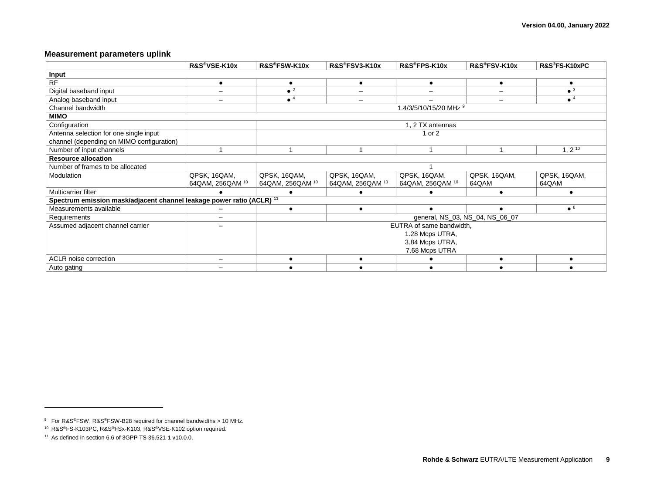## **Measurement parameters uplink**

|                                                                                  | R&S®VSE-K10x             | R&S®FSW-K10x           | R&S®FSV3-K10x    | R&S®FPS-K10x             | R&S®FSV-K10x                    | R&S®FS-K10xPC          |
|----------------------------------------------------------------------------------|--------------------------|------------------------|------------------|--------------------------|---------------------------------|------------------------|
| Input                                                                            |                          |                        |                  |                          |                                 |                        |
| <b>RF</b>                                                                        | $\bullet$                | $\bullet$              | ٠                | ٠                        | $\bullet$                       |                        |
| Digital baseband input                                                           |                          | $\bullet$ <sup>2</sup> |                  |                          |                                 | $\bullet$ <sup>3</sup> |
| Analog baseband input                                                            |                          | $\bullet$ <sup>4</sup> |                  |                          |                                 | $\bullet$ <sup>4</sup> |
| Channel bandwidth                                                                |                          |                        |                  | 1.4/3/5/10/15/20 MHz 9   |                                 |                        |
| <b>MIMO</b>                                                                      |                          |                        |                  |                          |                                 |                        |
| Configuration                                                                    |                          |                        |                  | 1, 2 TX antennas         |                                 |                        |
| Antenna selection for one single input                                           |                          |                        |                  | 1 or 2                   |                                 |                        |
| channel (depending on MIMO configuration)                                        |                          |                        |                  |                          |                                 |                        |
| Number of input channels                                                         |                          |                        |                  |                          |                                 | $1, 2^{10}$            |
| <b>Resource allocation</b>                                                       |                          |                        |                  |                          |                                 |                        |
| Number of frames to be allocated                                                 |                          |                        |                  |                          |                                 |                        |
| Modulation                                                                       | QPSK, 16QAM,             | QPSK, 16QAM,           | QPSK, 16QAM,     | QPSK, 16QAM,             | QPSK, 16QAM,                    | QPSK, 16QAM,           |
|                                                                                  | 64QAM, 256QAM 10         | 64QAM, 256QAM 10       | 64QAM, 256QAM 10 | 64QAM, 256QAM 10         | 64QAM                           | 64QAM                  |
| Multicarrier filter                                                              |                          |                        |                  |                          |                                 |                        |
| Spectrum emission mask/adjacent channel leakage power ratio (ACLR) <sup>11</sup> |                          |                        |                  |                          |                                 |                        |
| Measurements available                                                           |                          |                        |                  |                          |                                 | $\bullet$ <sup>8</sup> |
| Requirements                                                                     |                          |                        |                  |                          | general, NS_03, NS_04, NS_06_07 |                        |
| Assumed adjacent channel carrier                                                 |                          |                        |                  | EUTRA of same bandwidth, |                                 |                        |
|                                                                                  |                          |                        |                  | 1.28 Mcps UTRA,          |                                 |                        |
|                                                                                  |                          |                        |                  | 3.84 Mcps UTRA,          |                                 |                        |
|                                                                                  |                          |                        |                  | 7.68 Mcps UTRA           |                                 |                        |
| ACLR noise correction                                                            | $\overline{\phantom{m}}$ |                        |                  |                          | $\bullet$                       |                        |
| Auto gating                                                                      |                          |                        |                  |                          |                                 |                        |

l

<sup>9</sup> For R&S®FSW, R&S®FSW-B28 required for channel bandwidths > 10 MHz.

<sup>10</sup> R&S®FS-K103PC, R&S®FSx-K103, R&S®VSE-K102 option required.

<sup>11</sup> As defined in section 6.6 of 3GPP TS 36.521-1 v10.0.0.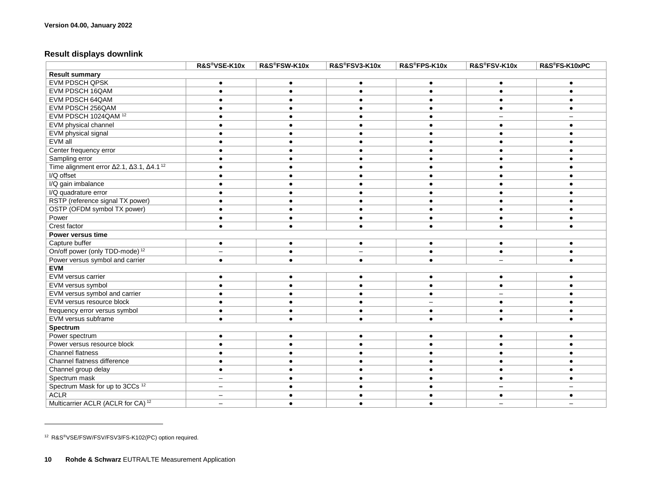## **Result displays downlink**

|                                                                             | R&S®VSE-K10x             | R&S®FSW-K10x | R&S®FSV3-K10x | R&S®FPS-K10x | R&S®FSV-K10x | R&S®FS-K10xPC |  |  |  |
|-----------------------------------------------------------------------------|--------------------------|--------------|---------------|--------------|--------------|---------------|--|--|--|
| <b>Result summary</b>                                                       |                          |              |               |              |              |               |  |  |  |
| <b>EVM PDSCH QPSK</b>                                                       | $\bullet$                | $\bullet$    | $\bullet$     | $\bullet$    | $\bullet$    | $\bullet$     |  |  |  |
| EVM PDSCH 16QAM                                                             | $\bullet$                |              |               | $\bullet$    |              |               |  |  |  |
| EVM PDSCH 64QAM                                                             | ٠                        |              |               |              |              |               |  |  |  |
| EVM PDSCH 256QAM                                                            |                          |              |               |              |              |               |  |  |  |
| EVM PDSCH 1024QAM <sup>12</sup>                                             |                          |              |               |              |              |               |  |  |  |
| EVM physical channel                                                        |                          |              |               |              |              |               |  |  |  |
| EVM physical signal                                                         | $\bullet$                |              |               |              |              |               |  |  |  |
| EVM all                                                                     | $\bullet$                |              |               | $\bullet$    |              |               |  |  |  |
| Center frequency error                                                      |                          |              |               |              |              |               |  |  |  |
| Sampling error                                                              | $\bullet$                |              |               |              |              |               |  |  |  |
| Time alignment error $\Delta$ 2.1, $\Delta$ 3.1, $\Delta$ 4.1 <sup>12</sup> | $\bullet$                |              |               |              |              |               |  |  |  |
| I/Q offset                                                                  |                          |              |               |              |              |               |  |  |  |
| I/Q gain imbalance                                                          | $\bullet$                |              |               |              |              |               |  |  |  |
| I/Q quadrature error                                                        | $\bullet$                |              |               |              |              |               |  |  |  |
| RSTP (reference signal TX power)                                            | $\bullet$                |              |               |              |              |               |  |  |  |
| OSTP (OFDM symbol TX power)                                                 | $\bullet$                |              |               |              |              |               |  |  |  |
| Power                                                                       | $\bullet$                |              |               |              |              |               |  |  |  |
| Crest factor                                                                | $\bullet$                |              | $\bullet$     | $\bullet$    | $\bullet$    |               |  |  |  |
| Power versus time                                                           |                          |              |               |              |              |               |  |  |  |
| Capture buffer                                                              | $\bullet$                |              | $\bullet$     | ٠            | $\bullet$    |               |  |  |  |
| On/off power (only TDD-mode) <sup>12</sup>                                  | $\overline{\phantom{0}}$ |              |               | $\bullet$    |              |               |  |  |  |
| Power versus symbol and carrier                                             | $\bullet$                |              |               |              |              |               |  |  |  |
| <b>EVM</b>                                                                  |                          |              |               |              |              |               |  |  |  |
| EVM versus carrier                                                          | $\bullet$                |              |               | $\bullet$    |              |               |  |  |  |
| EVM versus symbol                                                           | $\bullet$                |              |               |              |              |               |  |  |  |
| EVM versus symbol and carrier                                               |                          |              |               |              |              |               |  |  |  |
| EVM versus resource block                                                   |                          |              |               |              |              |               |  |  |  |
| frequency error versus symbol                                               | $\bullet$                |              |               |              |              |               |  |  |  |
| EVM versus subframe                                                         | $\bullet$                |              |               | $\bullet$    |              |               |  |  |  |
| Spectrum                                                                    |                          |              |               |              |              |               |  |  |  |
| Power spectrum                                                              | $\bullet$                |              |               | $\bullet$    |              |               |  |  |  |
| Power versus resource block                                                 | $\bullet$                |              |               |              |              |               |  |  |  |
| Channel flatness                                                            |                          |              |               |              |              |               |  |  |  |
| Channel flatness difference                                                 |                          |              |               |              |              |               |  |  |  |
| Channel group delay                                                         | $\bullet$                |              |               |              |              |               |  |  |  |
| Spectrum mask                                                               | $\overline{\phantom{0}}$ |              |               |              |              |               |  |  |  |
| Spectrum Mask for up to 3CCs <sup>12</sup>                                  |                          |              |               |              |              |               |  |  |  |
| <b>ACLR</b>                                                                 |                          |              |               |              |              |               |  |  |  |
| Multicarrier ACLR (ACLR for CA) <sup>12</sup>                               |                          |              |               |              |              |               |  |  |  |

<sup>12</sup> R&S®VSE/FSW/FSV/FSV3/FS-K102(PC) option required.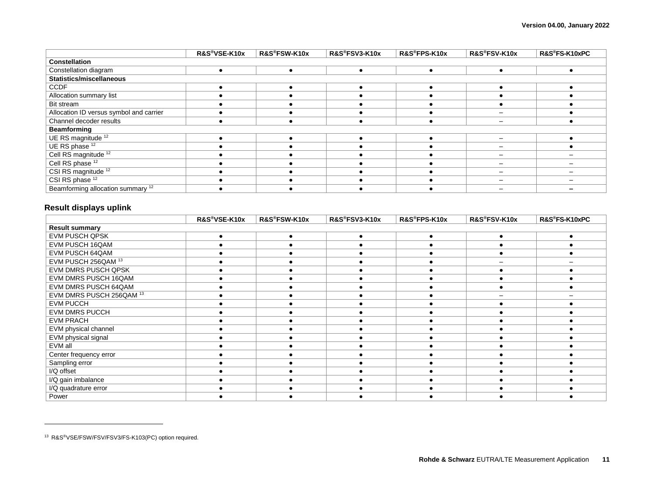|                                              | R&S®VSE-K10x | R&S®FSW-K10x | R&S®FSV3-K10x | R&S®FPS-K10x | R&S®FSV-K10x | R&S®FS-K10xPC |
|----------------------------------------------|--------------|--------------|---------------|--------------|--------------|---------------|
| <b>Constellation</b>                         |              |              |               |              |              |               |
| Constellation diagram                        |              |              |               |              |              |               |
| Statistics/miscellaneous                     |              |              |               |              |              |               |
| <b>CCDF</b>                                  |              |              |               |              |              |               |
| Allocation summary list                      |              |              |               |              |              |               |
| Bit stream                                   |              |              |               |              |              |               |
| Allocation ID versus symbol and carrier      |              |              |               |              |              |               |
| Channel decoder results                      |              |              |               |              |              |               |
| <b>Beamforming</b>                           |              |              |               |              |              |               |
| UE RS magnitude <sup>12</sup>                |              |              |               |              |              |               |
| UE RS phase 12                               |              |              |               |              |              |               |
| Cell RS magnitude <sup>12</sup>              |              |              |               |              |              |               |
| Cell RS phase <sup>12</sup>                  |              |              |               |              |              |               |
| CSI RS magnitude <sup>12</sup>               |              |              |               |              |              |               |
| CSI RS phase 12                              |              |              |               |              |              |               |
| Beamforming allocation summary <sup>12</sup> |              |              |               |              |              |               |

## **Result displays uplink**

|                            | R&S®VSE-K10x | R&S®FSW-K10x | R&S®FSV3-K10x | R&S®FPS-K10x | R&S®FSV-K10x | R&S®FS-K10xPC |
|----------------------------|--------------|--------------|---------------|--------------|--------------|---------------|
| <b>Result summary</b>      |              |              |               |              |              |               |
| EVM PUSCH QPSK             |              |              |               |              |              |               |
| EVM PUSCH 16QAM            |              |              |               |              |              |               |
| EVM PUSCH 64QAM            |              |              |               |              |              |               |
| EVM PUSCH 256QAM 13        |              |              |               |              |              |               |
| <b>EVM DMRS PUSCH QPSK</b> |              |              |               |              |              |               |
| EVM DMRS PUSCH 16QAM       |              |              |               |              |              |               |
| EVM DMRS PUSCH 64QAM       |              |              |               |              |              |               |
| EVM DMRS PUSCH 256QAM 13   |              |              |               |              |              |               |
| <b>EVM PUCCH</b>           |              |              |               |              |              |               |
| <b>EVM DMRS PUCCH</b>      |              |              |               |              |              |               |
| <b>EVM PRACH</b>           |              |              |               |              |              |               |
| EVM physical channel       |              |              |               |              |              |               |
| EVM physical signal        |              |              |               |              |              |               |
| EVM all                    |              |              |               |              |              |               |
| Center frequency error     |              |              |               |              |              |               |
| Sampling error             |              |              |               |              |              |               |
| I/Q offset                 |              |              |               |              |              |               |
| I/Q gain imbalance         |              |              |               |              |              |               |
| I/Q quadrature error       |              |              |               |              |              |               |
| Power                      |              |              |               |              |              |               |

<sup>13</sup> R&S®VSE/FSW/FSV/FSV3/FS-K103(PC) option required.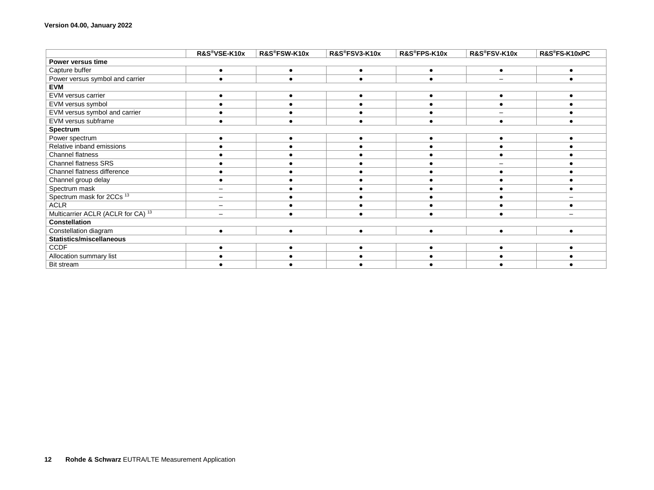|                                               | R&S®VSE-K10x             | R&S®FSW-K10x | R&S®FSV3-K10x | R&S®FPS-K10x | R&S®FSV-K10x | R&S®FS-K10xPC |  |  |  |
|-----------------------------------------------|--------------------------|--------------|---------------|--------------|--------------|---------------|--|--|--|
| Power versus time                             |                          |              |               |              |              |               |  |  |  |
| Capture buffer                                | $\bullet$                | $\bullet$    | $\bullet$     | $\bullet$    | $\bullet$    |               |  |  |  |
| Power versus symbol and carrier               | $\bullet$                | $\bullet$    | $\bullet$     | $\bullet$    |              |               |  |  |  |
| <b>EVM</b>                                    |                          |              |               |              |              |               |  |  |  |
| EVM versus carrier                            | ٠                        |              |               | ٠            |              |               |  |  |  |
| EVM versus symbol                             |                          |              |               |              |              |               |  |  |  |
| EVM versus symbol and carrier                 |                          |              |               |              |              |               |  |  |  |
| EVM versus subframe                           |                          |              |               |              |              |               |  |  |  |
| Spectrum                                      |                          |              |               |              |              |               |  |  |  |
| Power spectrum                                | $\bullet$                | $\bullet$    | ٠             | $\bullet$    | $\bullet$    |               |  |  |  |
| Relative inband emissions                     |                          |              |               |              |              |               |  |  |  |
| Channel flatness                              |                          |              |               |              |              |               |  |  |  |
| <b>Channel flatness SRS</b>                   |                          |              |               |              |              |               |  |  |  |
| Channel flatness difference                   |                          |              |               |              |              |               |  |  |  |
| Channel group delay                           |                          |              |               |              |              |               |  |  |  |
| Spectrum mask                                 |                          |              |               |              |              |               |  |  |  |
| Spectrum mask for 2CCs <sup>13</sup>          | $\qquad \qquad -$        |              |               |              |              |               |  |  |  |
| <b>ACLR</b>                                   | $\overline{\phantom{m}}$ |              |               |              |              |               |  |  |  |
| Multicarrier ACLR (ACLR for CA) <sup>13</sup> | $\overline{\phantom{m}}$ |              |               |              |              |               |  |  |  |
| <b>Constellation</b>                          |                          |              |               |              |              |               |  |  |  |
| Constellation diagram                         | $\bullet$                |              |               | $\bullet$    |              |               |  |  |  |
| <b>Statistics/miscellaneous</b>               |                          |              |               |              |              |               |  |  |  |
| <b>CCDF</b>                                   |                          |              |               |              |              |               |  |  |  |
| Allocation summary list                       |                          |              |               |              |              |               |  |  |  |
| Bit stream                                    |                          |              |               |              |              |               |  |  |  |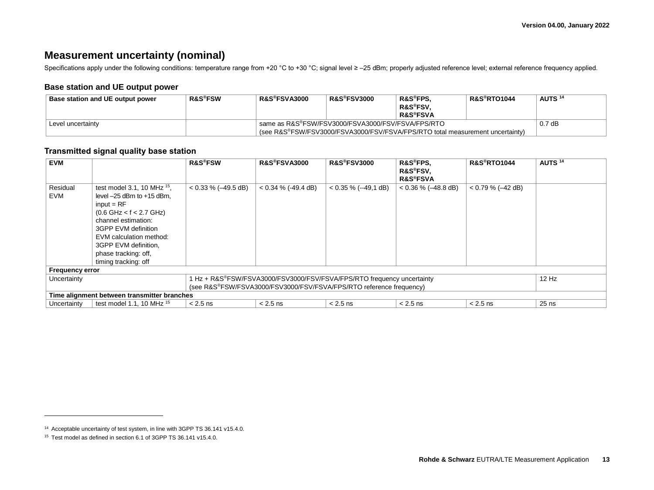## **Measurement uncertainty (nominal)**

Specifications apply under the following conditions: temperature range from +20 °C to +30 °C; signal level ≥ -25 dBm; properly adjusted reference level; external reference frequency applied.

## **Base station and UE output power**

<span id="page-12-0"></span>

| Base station and UE output power | <b>R&amp;S®FSW</b> | <b>R&amp;S®FSVA3000</b> | <b>R&amp;S®FSV3000</b>                                                                                                             | R&S®FPS.<br><b>R&amp;S®FSV.</b><br><b>R&amp;S®FSVA</b> | <b>R&amp;S®RTO1044</b> | AUTS <sup>14</sup> |  |  |
|----------------------------------|--------------------|-------------------------|------------------------------------------------------------------------------------------------------------------------------------|--------------------------------------------------------|------------------------|--------------------|--|--|
| Level uncertainty                |                    |                         | same as R&S®FSW/FSV3000/FSVA3000/FSV/FSVA/FPS/RTO<br>(see R&S®FSW/FSV3000/FSVA3000/FSV/FSVA/FPS/RTO total measurement uncertainty) |                                                        |                        |                    |  |  |

## **Transmitted signal quality base station**

<span id="page-12-1"></span>

| <b>EVM</b>             |                                                                                                                                                                                                                                                                 | <b>R&amp;S®FSW</b>     | <b>R&amp;S®FSVA3000</b> | <b>R&amp;S®FSV3000</b>                                                 | R&S®FPS.<br>R&S®FSV.<br><b>R&amp;S®FSVA</b> | <b>R&amp;S®RTO1044</b> | AUTS <sup>14</sup> |
|------------------------|-----------------------------------------------------------------------------------------------------------------------------------------------------------------------------------------------------------------------------------------------------------------|------------------------|-------------------------|------------------------------------------------------------------------|---------------------------------------------|------------------------|--------------------|
| Residual<br><b>EVM</b> | test model 3.1, 10 MHz $^{15}$ .<br>level $-25$ dBm to $+15$ dBm.<br>$input = RF$<br>$(0.6$ GHz < f < 2.7 GHz)<br>channel estimation:<br>3GPP EVM definition<br>EVM calculation method:<br>3GPP EVM definition,<br>phase tracking: off,<br>timing tracking: off | $< 0.33 \% (-49.5 dB)$ | $< 0.34 \% (-49.4 dB)$  | $< 0.35 \% (-49.1 dB)$                                                 | $< 0.36 \% (-48.8 dB)$                      | $< 0.79$ % (-42 dB)    |                    |
| <b>Frequency error</b> |                                                                                                                                                                                                                                                                 |                        |                         |                                                                        |                                             |                        |                    |
| Uncertainty            |                                                                                                                                                                                                                                                                 |                        |                         | 1 Hz + R&S®FSW/FSVA3000/FSV3000/FSV/FSVA/FPS/RTO frequency uncertainty |                                             |                        | $12$ Hz            |
|                        | (see R&S®FSW/FSVA3000/FSV3000/FSV/FSVA/FPS/RTO reference frequency)                                                                                                                                                                                             |                        |                         |                                                                        |                                             |                        |                    |
|                        | Time alignment between transmitter branches                                                                                                                                                                                                                     |                        |                         |                                                                        |                                             |                        |                    |
| Uncertainty            | test model 1.1, 10 MHz $15$                                                                                                                                                                                                                                     | $< 2.5$ ns             | $< 2.5$ ns              | $< 2.5$ ns                                                             | $< 2.5$ ns                                  | $< 2.5$ ns             | $25$ ns            |

l

<sup>14</sup> Acceptable uncertainty of test system, in line with 3GPP TS 36.141 v15.4.0.

<sup>15</sup> Test model as defined in section 6.1 of 3GPP TS 36.141 v15.4.0.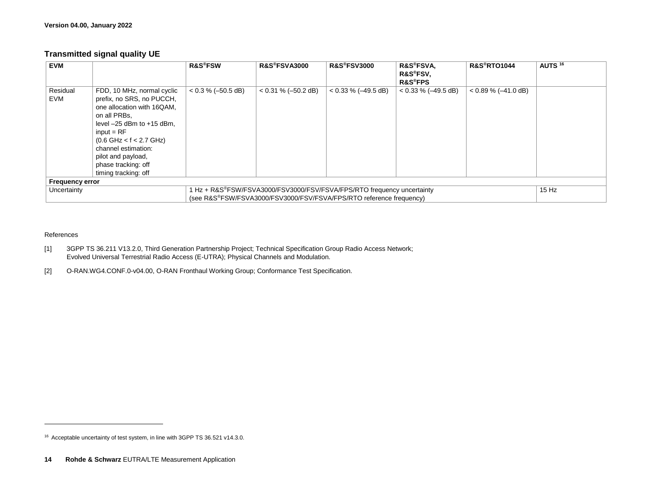## **Transmitted signal quality UE**

| <b>EVM</b>             |                                                                                                                                                                                                                                                                                 | <b>R&amp;S®FSW</b>   | <b>R&amp;S®FSVA3000</b>                                                                                                                       | <b>R&amp;S®FSV3000</b> | <b>R&amp;S®FSVA,</b><br>R&S®FSV.<br><b>R&amp;S®FPS</b> | <b>R&amp;S®RTO1044</b> | AUTS <sup>16</sup> |
|------------------------|---------------------------------------------------------------------------------------------------------------------------------------------------------------------------------------------------------------------------------------------------------------------------------|----------------------|-----------------------------------------------------------------------------------------------------------------------------------------------|------------------------|--------------------------------------------------------|------------------------|--------------------|
| Residual<br><b>EVM</b> | FDD, 10 MHz, normal cyclic<br>prefix, no SRS, no PUCCH,<br>one allocation with 16QAM,<br>on all PRBs,<br>level $-25$ dBm to $+15$ dBm,<br>$input = RF$<br>$(0.6$ GHz < f < 2.7 GHz)<br>channel estimation:<br>pilot and payload,<br>phase tracking: off<br>timing tracking: off | $< 0.3 % (-50.5 dB)$ | $< 0.31 \% (-50.2 dB)$                                                                                                                        | $< 0.33 \% (-49.5 dB)$ | $< 0.33 \% (-49.5 dB)$                                 | $< 0.89 \% (-41.0 dB)$ |                    |
| <b>Frequency error</b> |                                                                                                                                                                                                                                                                                 |                      |                                                                                                                                               |                        |                                                        |                        |                    |
| Uncertainty            |                                                                                                                                                                                                                                                                                 |                      | 1 Hz + R&S®FSW/FSVA3000/FSV3000/FSV/FSVA/FPS/RTO frequency uncertainty<br>(see R&S®FSW/FSVA3000/FSV3000/FSV/FSVA/FPS/RTO reference frequency) |                        |                                                        |                        | $15$ Hz            |

#### References

- [1] 3GPP TS 36.211 V13.2.0, Third Generation Partnership Project; Technical Specification Group Radio Access Network; Evolved Universal Terrestrial Radio Access (E-UTRA); Physical Channels and Modulation.
- [2] O-RAN.WG4.CONF.0-v04.00, O-RAN Fronthaul Working Group; Conformance Test Specification.

<sup>16</sup> Acceptable uncertainty of test system, in line with 3GPP TS 36.521 v14.3.0.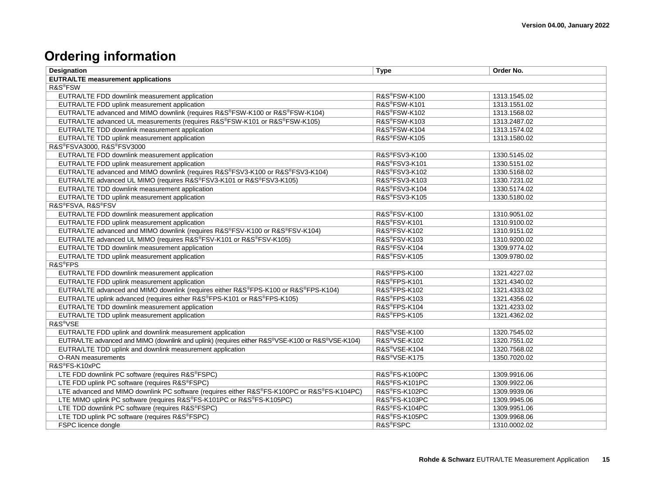## **Ordering information**

| <b>Designation</b>                                                                               | <b>Type</b>               | Order No.    |  |  |  |
|--------------------------------------------------------------------------------------------------|---------------------------|--------------|--|--|--|
| <b>EUTRA/LTE measurement applications</b>                                                        |                           |              |  |  |  |
| R&S <sup>®</sup> FSW                                                                             |                           |              |  |  |  |
| EUTRA/LTE FDD downlink measurement application                                                   | R&S®FSW-K100              | 1313.1545.02 |  |  |  |
| EUTRA/LTE FDD uplink measurement application                                                     | R&S®FSW-K101              | 1313.1551.02 |  |  |  |
| EUTRA/LTE advanced and MIMO downlink (requires R&S®FSW-K100 or R&S®FSW-K104)                     | R&S®FSW-K102              | 1313.1568.02 |  |  |  |
| EUTRA/LTE advanced UL measurements (requires R&S®FSW-K101 or R&S®FSW-K105)                       | R&S®FSW-K103              | 1313.2487.02 |  |  |  |
| EUTRA/LTE TDD downlink measurement application                                                   | R&S®FSW-K104              | 1313.1574.02 |  |  |  |
| EUTRA/LTE TDD uplink measurement application                                                     | R&S®FSW-K105              | 1313.1580.02 |  |  |  |
| R&S®FSVA3000, R&S®FSV3000                                                                        |                           |              |  |  |  |
| EUTRA/LTE FDD downlink measurement application                                                   | R&S®FSV3-K100             | 1330.5145.02 |  |  |  |
| EUTRA/LTE FDD uplink measurement application                                                     | R&S®FSV3-K101             | 1330.5151.02 |  |  |  |
| EUTRA/LTE advanced and MIMO downlink (requires R&S®FSV3-K100 or R&S®FSV3-K104)                   | R&S®FSV3-K102             | 1330.5168.02 |  |  |  |
| EUTRA/LTE advanced UL MIMO (requires R&S®FSV3-K101 or R&S®FSV3-K105)                             | R&S®FSV3-K103             | 1330.7231.02 |  |  |  |
| EUTRA/LTE TDD downlink measurement application                                                   | R&S®FSV3-K104             | 1330.5174.02 |  |  |  |
| EUTRA/LTE TDD uplink measurement application                                                     | R&S®FSV3-K105             | 1330.5180.02 |  |  |  |
| R&S®FSVA, R&S®FSV                                                                                |                           |              |  |  |  |
| EUTRA/LTE FDD downlink measurement application                                                   | R&S®FSV-K100              | 1310.9051.02 |  |  |  |
| EUTRA/LTE FDD uplink measurement application                                                     | R&S®FSV-K101              | 1310.9100.02 |  |  |  |
| EUTRA/LTE advanced and MIMO downlink (requires R&S®FSV-K100 or R&S®FSV-K104)                     | R&S®FSV-K102              | 1310.9151.02 |  |  |  |
| EUTRA/LTE advanced UL MIMO (requires R&S®FSV-K101 or R&S®FSV-K105)                               | R&S®FSV-K103              | 1310.9200.02 |  |  |  |
| EUTRA/LTE TDD downlink measurement application                                                   | R&S®FSV-K104              | 1309.9774.02 |  |  |  |
| EUTRA/LTE TDD uplink measurement application                                                     | R&S®FSV-K105              | 1309.9780.02 |  |  |  |
| R&S <sup>®</sup> FPS                                                                             |                           |              |  |  |  |
| EUTRA/LTE FDD downlink measurement application                                                   | R&S®FPS-K100              | 1321.4227.02 |  |  |  |
| EUTRA/LTE FDD uplink measurement application                                                     | R&S®FPS-K101              | 1321.4340.02 |  |  |  |
| EUTRA/LTE advanced and MIMO downlink (requires either R&S®FPS-K100 or R&S®FPS-K104)              | R&S®FPS-K102              | 1321.4333.02 |  |  |  |
| EUTRA/LTE uplink advanced (requires either R&S®FPS-K101 or R&S®FPS-K105)                         | R&S®FPS-K103              | 1321.4356.02 |  |  |  |
| EUTRA/LTE TDD downlink measurement application                                                   | R&S®FPS-K104              | 1321.4233.02 |  |  |  |
| EUTRA/LTE TDD uplink measurement application                                                     | R&S®FPS-K105              | 1321.4362.02 |  |  |  |
| R&S <sup>®</sup> VSE                                                                             |                           |              |  |  |  |
| EUTRA/LTE FDD uplink and downlink measurement application                                        | R&S®VSE-K100              | 1320.7545.02 |  |  |  |
| EUTRA/LTE advanced and MIMO (downlink and uplink) (requires either R&S®VSE-K100 or R&S®VSE-K104) | R&S <sup>®</sup> VSE-K102 | 1320.7551.02 |  |  |  |
| EUTRA/LTE TDD uplink and downlink measurement application                                        | R&S <sup>®</sup> VSE-K104 | 1320.7568.02 |  |  |  |
| O-RAN measurements                                                                               | R&S <sup>®</sup> VSE-K175 | 1350.7020.02 |  |  |  |
| R&S®FS-K10xPC                                                                                    |                           |              |  |  |  |
| LTE FDD downlink PC software (requires R&S®FSPC)                                                 | R&S®FS-K100PC             | 1309.9916.06 |  |  |  |
| LTE FDD uplink PC software (requires R&S®FSPC)                                                   | R&S®FS-K101PC             | 1309.9922.06 |  |  |  |
| LTE advanced and MIMO downlink PC software (requires either R&S®FS-K100PC or R&S®FS-K104PC)      | R&S®FS-K102PC             | 1309.9939.06 |  |  |  |
| LTE MIMO uplink PC software (requires R&S®FS-K101PC or R&S®FS-K105PC)                            | R&S®FS-K103PC             | 1309.9945.06 |  |  |  |
| LTE TDD downlink PC software (requires R&S®FSPC)                                                 | R&S®FS-K104PC             | 1309.9951.06 |  |  |  |
| LTE TDD uplink PC software (requires R&S®FSPC)                                                   | R&S®FS-K105PC             | 1309.9968.06 |  |  |  |
| FSPC licence dongle                                                                              | R&S®FSPC                  | 1310.0002.02 |  |  |  |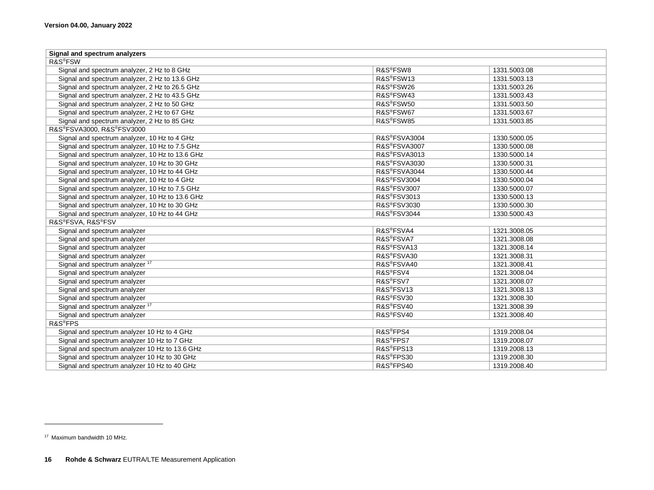| Signal and spectrum analyzers                   |                         |              |  |  |  |
|-------------------------------------------------|-------------------------|--------------|--|--|--|
| R&S <sup>®</sup> FSW                            |                         |              |  |  |  |
| Signal and spectrum analyzer, 2 Hz to 8 GHz     | R&S <sup>®</sup> FSW8   | 1331.5003.08 |  |  |  |
| Signal and spectrum analyzer, 2 Hz to 13.6 GHz  | R&S <sup>®</sup> FSW13  | 1331.5003.13 |  |  |  |
| Signal and spectrum analyzer, 2 Hz to 26.5 GHz  | R&S <sup>®</sup> FSW26  | 1331.5003.26 |  |  |  |
| Signal and spectrum analyzer, 2 Hz to 43.5 GHz  | R&S <sup>®</sup> FSW43  | 1331.5003.43 |  |  |  |
| Signal and spectrum analyzer, 2 Hz to 50 GHz    | R&S <sup>®</sup> FSW50  | 1331.5003.50 |  |  |  |
| Signal and spectrum analyzer, 2 Hz to 67 GHz    | R&S®FSW67               | 1331.5003.67 |  |  |  |
| Signal and spectrum analyzer, 2 Hz to 85 GHz    | R&S®FSW85               | 1331.5003.85 |  |  |  |
| R&S®FSVA3000, R&S®FSV3000                       |                         |              |  |  |  |
| Signal and spectrum analyzer, 10 Hz to 4 GHz    | R&S®FSVA3004            | 1330.5000.05 |  |  |  |
| Signal and spectrum analyzer, 10 Hz to 7.5 GHz  | R&S®FSVA3007            | 1330.5000.08 |  |  |  |
| Signal and spectrum analyzer, 10 Hz to 13.6 GHz | R&S®FSVA3013            | 1330.5000.14 |  |  |  |
| Signal and spectrum analyzer, 10 Hz to 30 GHz   | R&S®FSVA3030            | 1330.5000.31 |  |  |  |
| Signal and spectrum analyzer, 10 Hz to 44 GHz   | R&S®FSVA3044            | 1330.5000.44 |  |  |  |
| Signal and spectrum analyzer, 10 Hz to 4 GHz    | R&S®FSV3004             | 1330.5000.04 |  |  |  |
| Signal and spectrum analyzer, 10 Hz to 7.5 GHz  | R&S®FSV3007             | 1330.5000.07 |  |  |  |
| Signal and spectrum analyzer, 10 Hz to 13.6 GHz | R&S®FSV3013             | 1330.5000.13 |  |  |  |
| Signal and spectrum analyzer, 10 Hz to 30 GHz   | R&S®FSV3030             | 1330.5000.30 |  |  |  |
| Signal and spectrum analyzer, 10 Hz to 44 GHz   | R&S®FSV3044             | 1330.5000.43 |  |  |  |
| R&S®FSVA, R&S®FSV                               |                         |              |  |  |  |
| Signal and spectrum analyzer                    | R&S <sup>®</sup> FSVA4  | 1321.3008.05 |  |  |  |
| Signal and spectrum analyzer                    | R&S <sup>®</sup> FSVA7  | 1321.3008.08 |  |  |  |
| Signal and spectrum analyzer                    | R&S <sup>®</sup> FSVA13 | 1321.3008.14 |  |  |  |
| Signal and spectrum analyzer                    | R&S <sup>®</sup> FSVA30 | 1321.3008.31 |  |  |  |
| Signal and spectrum analyzer 17                 | R&S <sup>®</sup> FSVA40 | 1321.3008.41 |  |  |  |
| Signal and spectrum analyzer                    | R&S <sup>®</sup> FSV4   | 1321.3008.04 |  |  |  |
| Signal and spectrum analyzer                    | R&S <sup>®</sup> FSV7   | 1321.3008.07 |  |  |  |
| Signal and spectrum analyzer                    | R&S®FSV13               | 1321.3008.13 |  |  |  |
| Signal and spectrum analyzer                    | R&S®FSV30               | 1321.3008.30 |  |  |  |
| Signal and spectrum analyzer <sup>17</sup>      | R&S®FSV40               | 1321.3008.39 |  |  |  |
| Signal and spectrum analyzer                    | R&S®FSV40               | 1321.3008.40 |  |  |  |
| R&S <sup>®</sup> FPS                            |                         |              |  |  |  |
| Signal and spectrum analyzer 10 Hz to 4 GHz     | R&S <sup>®</sup> FPS4   | 1319.2008.04 |  |  |  |
| Signal and spectrum analyzer 10 Hz to 7 GHz     | R&S <sup>®</sup> FPS7   | 1319.2008.07 |  |  |  |
| Signal and spectrum analyzer 10 Hz to 13.6 GHz  | R&S®FPS13               | 1319.2008.13 |  |  |  |
| Signal and spectrum analyzer 10 Hz to 30 GHz    | R&S <sup>®</sup> FPS30  | 1319.2008.30 |  |  |  |
| Signal and spectrum analyzer 10 Hz to 40 GHz    | R&S <sup>®</sup> FPS40  | 1319.2008.40 |  |  |  |

<span id="page-15-0"></span><sup>17</sup> Maximum bandwidth 10 MHz.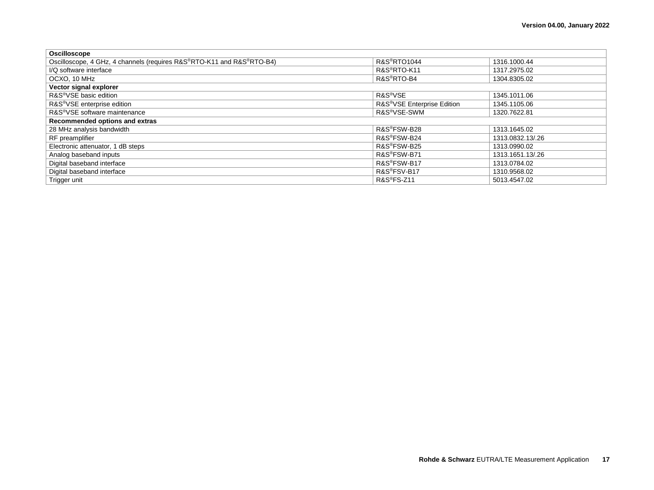| Oscilloscope                                                          |                                         |                  |  |  |  |
|-----------------------------------------------------------------------|-----------------------------------------|------------------|--|--|--|
| Oscilloscope, 4 GHz, 4 channels (requires R&S®RTO-K11 and R&S®RTO-B4) | <b>R&amp;S®RTO1044</b>                  | 1316.1000.44     |  |  |  |
| I/Q software interface                                                | R&S <sup>®</sup> RTO-K11                | 1317.2975.02     |  |  |  |
| OCXO, 10 MHz                                                          | R&S <sup>®</sup> RTO-B4                 | 1304.8305.02     |  |  |  |
| Vector signal explorer                                                |                                         |                  |  |  |  |
| R&S <sup>®</sup> VSE basic edition                                    | R&S <sup>®</sup> VSE                    | 1345.1011.06     |  |  |  |
| R&S <sup>®</sup> VSE enterprise edition                               | R&S <sup>®</sup> VSE Enterprise Edition | 1345.1105.06     |  |  |  |
| R&S <sup>®</sup> VSE software maintenance                             | R&S <sup>®</sup> VSE-SWM                | 1320.7622.81     |  |  |  |
| Recommended options and extras                                        |                                         |                  |  |  |  |
| 28 MHz analysis bandwidth                                             | R&S <sup>®</sup> FSW-B28                | 1313.1645.02     |  |  |  |
| RF preamplifier                                                       | R&S <sup>®</sup> FSW-B24                | 1313.0832.13/.26 |  |  |  |
| Electronic attenuator, 1 dB steps                                     | R&S <sup>®</sup> FSW-B25                | 1313.0990.02     |  |  |  |
| Analog baseband inputs                                                | R&S <sup>®</sup> FSW-B71                | 1313.1651.13/.26 |  |  |  |
| Digital baseband interface                                            | R&S®FSW-B17                             | 1313.0784.02     |  |  |  |
| Digital baseband interface                                            | R&S <sup>®</sup> FSV-B17                | 1310.9568.02     |  |  |  |
| Trigger unit                                                          | <b>R&amp;S®FS-Z11</b>                   | 5013.4547.02     |  |  |  |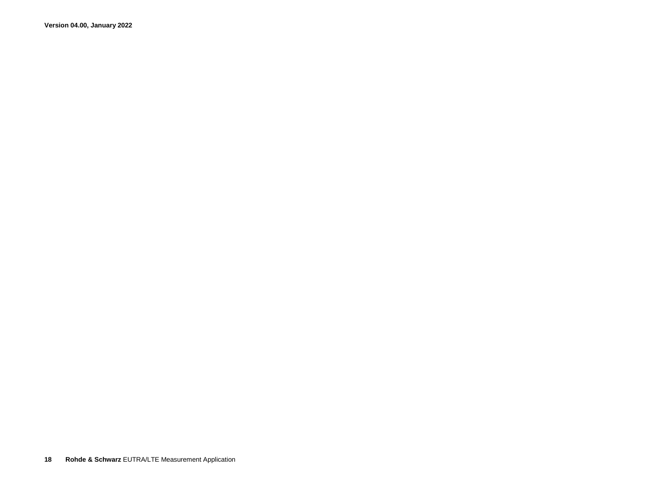**Version 04.00, January 2022**